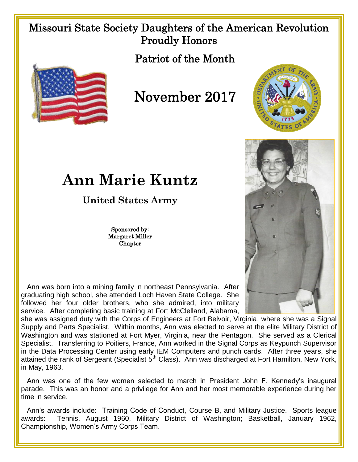## Missouri State Society Daughters of the American Revolution Proudly Honors

Patriot of the Month



November 2017



## **Ann Marie Kuntz**

**United States Army**

Sponsored by: Margaret Miller **Chapter** 

 Ann was born into a mining family in northeast Pennsylvania. After graduating high school, she attended Loch Haven State College. She followed her four older brothers, who she admired, into military service. After completing basic training at Fort McClelland, Alabama,

she was assigned duty with the Corps of Engineers at Fort Belvoir, Virginia, where she was a Signal Supply and Parts Specialist. Within months, Ann was elected to serve at the elite Military District of Washington and was stationed at Fort Myer, Virginia, near the Pentagon. She served as a Clerical Specialist. Transferring to Poitiers, France, Ann worked in the Signal Corps as Keypunch Supervisor in the Data Processing Center using early IEM Computers and punch cards. After three years, she attained the rank of Sergeant (Specialist  $5<sup>th</sup>$  Class). Ann was discharged at Fort Hamilton, New York, in May, 1963.

 Ann was one of the few women selected to march in President John F. Kennedy's inaugural parade. This was an honor and a privilege for Ann and her most memorable experience during her time in service.

 Ann's awards include: Training Code of Conduct, Course B, and Military Justice. Sports league awards: Tennis, August 1960, Military District of Washington; Basketball, January 1962, Championship, Women's Army Corps Team.